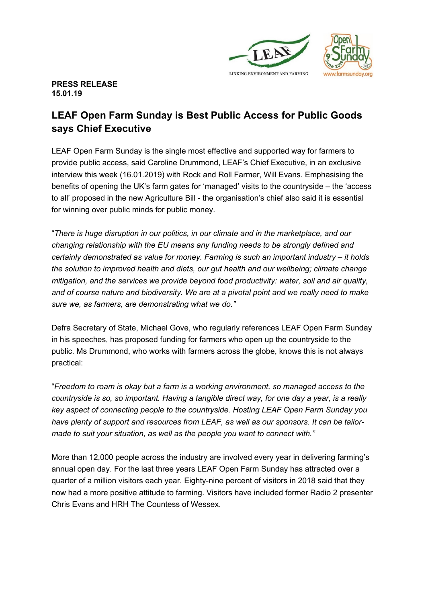

**PRESS RELEASE 15.01.19**

## **LEAF Open Farm Sunday is Best Public Access for Public Goods says Chief Executive**

LEAF Open Farm Sunday is the single most effective and supported way for farmers to provide public access, said Caroline Drummond, LEAF's Chief Executive, in an exclusive interview this week (16.01.2019) with Rock and Roll Farmer, Will Evans. Emphasising the benefits of opening the UK's farm gates for 'managed' visits to the countryside – the 'access to all' proposed in the new Agriculture Bill - the organisation's chief also said it is essential for winning over public minds for public money.

"*There is huge disruption in our politics, in our climate and in the marketplace, and our changing relationship with the EU means any funding needs to be strongly defined and certainly demonstrated as value for money. Farming is such an important industry – it holds the solution to improved health and diets, our gut health and our wellbeing; climate change mitigation, and the services we provide beyond food productivity: water, soil and air quality, and of course nature and biodiversity. We are at a pivotal point and we really need to make sure we, as farmers, are demonstrating what we do."*

Defra Secretary of State, Michael Gove, who regularly references LEAF Open Farm Sunday in his speeches, has proposed funding for farmers who open up the countryside to the public. Ms Drummond, who works with farmers across the globe, knows this is not always practical:

"*Freedom to roam is okay but a farm is a working environment, so managed access to the countryside is so, so important. Having a tangible direct way, for one day a year, is a really key aspect of connecting people to the countryside. Hosting LEAF Open Farm Sunday you have plenty of support and resources from LEAF, as well as our sponsors. It can be tailormade to suit your situation, as well as the people you want to connect with."*

More than 12,000 people across the industry are involved every year in delivering farming's annual open day. For the last three years LEAF Open Farm Sunday has attracted over a quarter of a million visitors each year. Eighty-nine percent of visitors in 2018 said that they now had a more positive attitude to farming. Visitors have included former Radio 2 presenter Chris Evans and HRH The Countess of Wessex.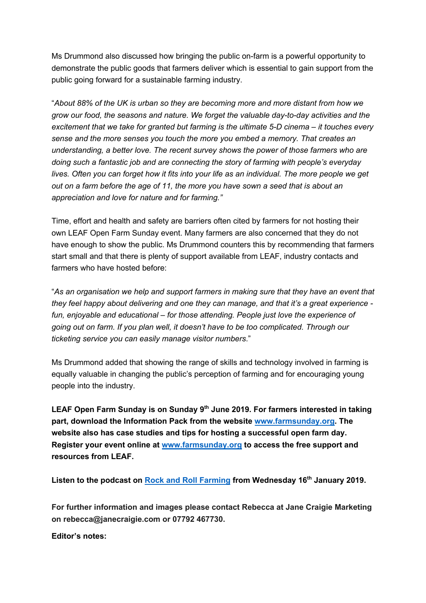Ms Drummond also discussed how bringing the public on-farm is a powerful opportunity to demonstrate the public goods that farmers deliver which is essential to gain support from the public going forward for a sustainable farming industry.

"*About 88% of the UK is urban so they are becoming more and more distant from how we grow our food, the seasons and nature. We forget the valuable day-to-day activities and the excitement that we take for granted but farming is the ultimate 5-D cinema – it touches every sense and the more senses you touch the more you embed a memory. That creates an understanding, a better love. The recent survey shows the power of those farmers who are doing such a fantastic job and are connecting the story of farming with people's everyday lives. Often you can forget how it fits into your life as an individual. The more people we get out on a farm before the age of 11, the more you have sown a seed that is about an appreciation and love for nature and for farming."*

Time, effort and health and safety are barriers often cited by farmers for not hosting their own LEAF Open Farm Sunday event. Many farmers are also concerned that they do not have enough to show the public. Ms Drummond counters this by recommending that farmers start small and that there is plenty of support available from LEAF, industry contacts and farmers who have hosted before:

"*As an organisation we help and support farmers in making sure that they have an event that they feel happy about delivering and one they can manage, and that it's a great experience fun, enjoyable and educational – for those attending. People just love the experience of going out on farm. If you plan well, it doesn't have to be too complicated. Through our ticketing service you can easily manage visitor numbers*."

Ms Drummond added that showing the range of skills and technology involved in farming is equally valuable in changing the public's perception of farming and for encouraging young people into the industry.

**LEAF Open Farm Sunday is on Sunday 9th June 2019. For farmers interested in taking part, download the Information Pack from the website www.farmsunday.org. The website also has case studies and tips for hosting a successful open farm day. Register your event online at www.farmsunday.org to access the free support and resources from LEAF.**

**Listen to the podcast on Rock and Roll Farming from Wednesday 16th January 2019.**

**For further information and images please contact Rebecca at Jane Craigie Marketing on rebecca@janecraigie.com or 07792 467730.**

**Editor's notes:**